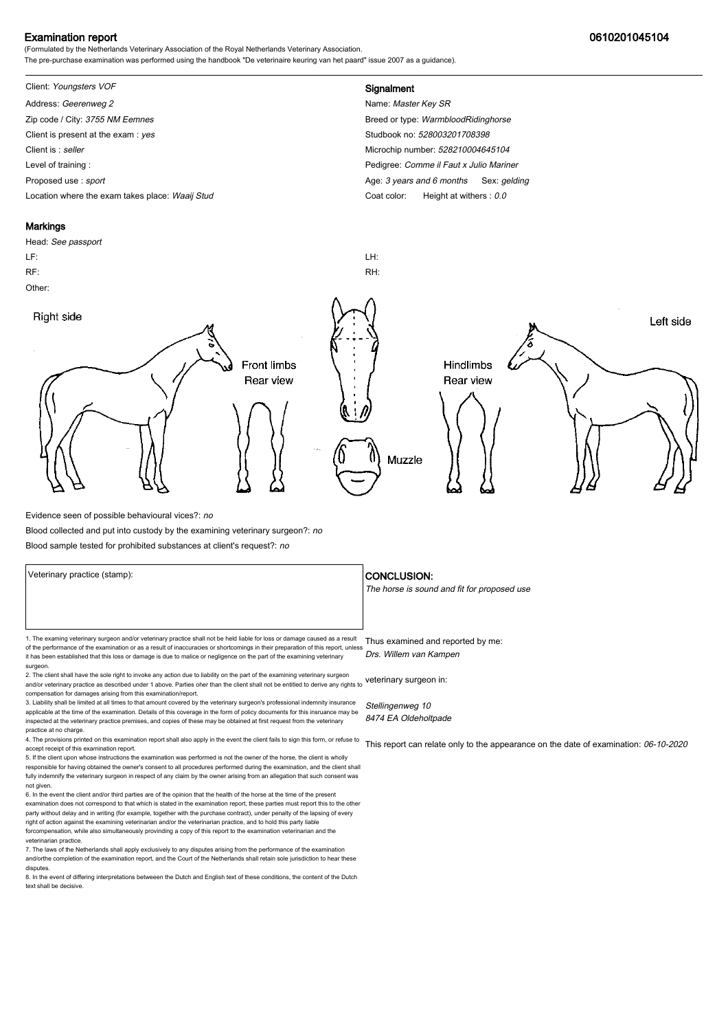### Examination report 0610201045104

(Formulated by the Netherlands Veterinary Association of the Royal Netherlands Veterinary Association. The pre-purchase examination was performed using the handbook "De veterinaire keuring van het paard" issue 2007 as a guidance).

# Client: Youngsters VOF **Signalment**

Address: Geerenweg 2 Name: Master Key SR Zip code / City: 3755 NM Eemnes Breed or type: WarmbloodRidinghorse Breed or type: WarmbloodRidinghorse Client is present at the exam : yes Studbook no: 528003201708398 Client is : seller Microchip number: 528210004645104 Level of training : Level of training : Pedigree: Comme il Faut x Julio Mariner Proposed use : sport **Age: 3** years and 6 months Sex: gelding Location where the exam takes place: Waaij Stud Coat Color: Height at withers : 0.0

#### **Markings**

Head: See passport LF: LH: RF: RH: Other: Right side Left side **Front limbs** Hindlimbs Rear view Rear view Muzzle

Evidence seen of possible behavioural vices?: no

Blood collected and put into custody by the examining veterinary surgeon?: no

Blood sample tested for prohibited substances at client's request?: no

1. The examing veterinary surgeon and/or veterinary practice shall not be held liable for loss or damage caused as a result Thus examined and reported by me: of the performance of the examination or as a result of inaccuracies or shortcomings in their preparation of this report, unless it has been established that this loss or damage is due to malice or negligence on the part of the examining veterinary surgeon.

2. The client shall have the sole right to invoke any action due to liability on the part of the examining veterinary surgeon and/or veterinary practice as described under 1 above. Parties oher than the client shall not be entitled to derive any rights to veterinary surgeon in: compensation for damages arising from this examination/report.

3. Liability shall be limited at all times to that amount covered by the veterinary surgeon's professional indemnity insurance applicable at the time of the examination. Details of this coverage in the form of policy documents for this insruance may be inspected at the veterinary practice premises, and copies of these may be obtained at first request from the veterinary practice at no charge.

4. The provisions printed on this examination report shall also apply in the event the client fails to sign this form, or refuse to accept receipt of this examination report.

5. If the client upon whose instructions the examination was performed is not the owner of the horse, the client is wholly responsible for having obtained the owner's consent to all procedures performed during the examination, and the client shall fully indemnify the veterinary surgeon in respect of any claim by the owner arising from an allegation that such consent was not given.

6. In the event the client and/or third parties are of the opinion that the health of the horse at the time of the present examination does not correspond to that which is stated in the examination report, these parties must report this to the other party without delay and in writing (for example, together with the purchase contract), under penalty of the lapsing of every<br>right of action against the examining veterinarian and/or the veterinarian practice, and to hold forcompensation, while also simultaneously provinding a copy of this report to the examination veterinarian and th veterinarian practice.

7. The laws of the Netherlands shall apply exclusively to any disputes arising from the performance of the examination and/orthe completion of the examination report, and the Court of the Netherlands shall retain sole jurisdiction to hear these disputes.

8. In the event of differing interpretations betweeen the Dutch and English text of these conditions, the content of the Dutch text shall be decisive.

#### Veterinary practice (stamp):  $\overline{\phantom{a}}$  CONCLUSION:

The horse is sound and fit for proposed use

Drs. Willem van Kampen

Stellingenweg 10 8474 EA Oldeholtpade

This report can relate only to the appearance on the date of examination: 06-10-2020